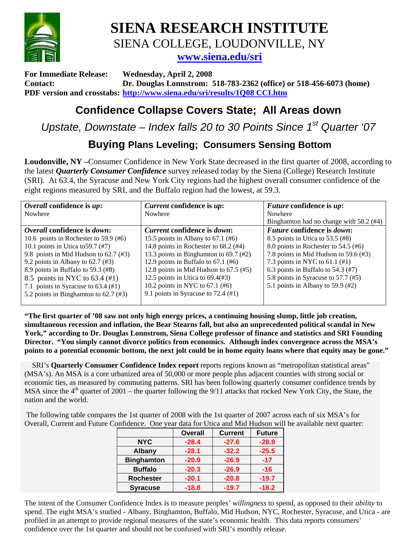

**SIENA RESEARCH INSTITUTE**  SIENA COLLEGE, LOUDONVILLE, NY **www.siena.edu/sri**

**For Immediate Release: Wednesday, April 2, 2008 Contact: Dr. Douglas Lonnstrom: 518-783-2362 (office) or 518-456-6073 (home) PDF version and crosstabs: http://www.siena.edu/sri/results/1Q08 CCI.htm**

## **Confidence Collapse Covers State; All Areas down**

*Upstate, Downstate – Index falls 20 to 30 Points Since 1st Quarter '07*

## **Buying Plans Leveling; Consumers Sensing Bottom**

**Loudonville, NY –**Consumer Confidence in New York State decreased in the first quarter of 2008, according to the latest *Quarterly Consumer Confidence* survey released today by the Siena (College) Research Institute (SRI). At 63.4, the Syracuse and New York City regions had the highest overall consumer confidence of the eight regions measured by SRI, and the Buffalo region had the lowest, at 59.3.

| <i>Current</i> confidence is <i>up</i> :      | <i>Future</i> confidence is <i>up</i> :   |  |  |  |  |  |
|-----------------------------------------------|-------------------------------------------|--|--|--|--|--|
| Nowhere                                       | Nowhere                                   |  |  |  |  |  |
|                                               | Binghamton had no change with 58.2 (#4)   |  |  |  |  |  |
| <i>Current</i> confidence is <i>down</i> :    | <i>Future</i> confidence is <i>down</i> : |  |  |  |  |  |
| 15.5 points in Albany to $67.1$ (#6)          | 8.5 points in Utica to 53.5 (#8)          |  |  |  |  |  |
| 14.8 points in Rochester to 68.2 (#4)         | 8.0 points in Rochester to 54.5 (#6)      |  |  |  |  |  |
| 13.3 points in Binghamton to 69.7 (#2)        | 7.8 points in Mid Hudson to 59.6 (#3)     |  |  |  |  |  |
| 12.9 points in Buffalo to $67.1$ (#6)         | 7.3 points in NYC to $61.1$ (#1)          |  |  |  |  |  |
| 12.8 points in Mid Hudson to $67.5$ (#5)      | 6.3 points in Buffalo to $54.3$ (#7)      |  |  |  |  |  |
| 12.5 points in Utica to $69.4(\text{\#}3)$    | 5.8 points in Syracuse to 57.7 (#5)       |  |  |  |  |  |
| 10.2 points in NYC to $67.1$ (#6)             | 5.1 points in Albany to 59.9 $(\#2)$      |  |  |  |  |  |
| 9.1 points in Syracuse to 72.4 $(\text{\#}1)$ |                                           |  |  |  |  |  |
|                                               |                                           |  |  |  |  |  |

**"The first quarter of '08 saw not only high energy prices, a continuing housing slump, little job creation, simultaneous recession and inflation, the Bear Stearns fall, but also an unprecedented political scandal in New York," according to Dr. Douglas Lonnstrom, Siena College professor of finance and statistics and SRI Founding Director. "You simply cannot divorce politics from economics. Although index convergence across the MSA's points to a potential economic bottom, the next jolt could be in home equity loans where that equity may be gone."** 

 SRI's **Quarterly Consumer Confidence Index report** reports regions known as "metropolitan statistical areas" (MSA's). An MSA is a core urbanized area of 50,000 or more people plus adjacent counties with strong social or economic ties, as measured by commuting patterns. SRI has been following quarterly consumer confidence trends by MSA since the  $4<sup>th</sup>$  quarter of 2001 – the quarter following the 9/11 attacks that rocked New York City, the State, the nation and the world.

 The following table compares the 1st quarter of 2008 with the 1st quarter of 2007 across each of six MSA's for Overall, Current and Future Confidence. One year data for Utica and Mid Hudson will be available next quarter:

|                   | <b>Overall</b> | <b>Current</b> | <b>Future</b> |
|-------------------|----------------|----------------|---------------|
| <b>NYC</b>        | $-28.4$        | $-27.6$        | $-28.9$       |
| <b>Albany</b>     | $-28.1$        | $-32.2$        | $-25.5$       |
| <b>Binghamton</b> | $-20.9$        | $-26.9$        | $-17$         |
| <b>Buffalo</b>    | $-20.3$        | $-26.9$        | $-16$         |
| <b>Rochester</b>  | $-20.1$        | $-20.8$        | $-19.7$       |
| <b>Syracuse</b>   | $-18.8$        | $-19.7$        | $-18.2$       |

The intent of the Consumer Confidence Index is to measure peoples' *willingness* to spend, as opposed to their *ability* to spend. The eight MSA's studied - Albany, Binghamton, Buffalo, Mid Hudson, NYC, Rochester, Syracuse, and Utica - are profiled in an attempt to provide regional measures of the state's economic health. This data reports consumers' confidence over the 1st quarter and should not be confused with SRI's monthly release.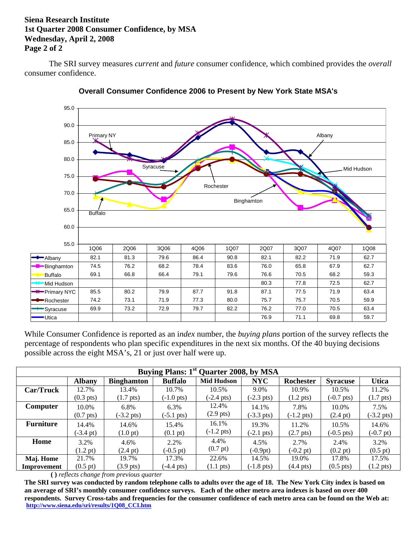## **Siena Research Institute 1st Quarter 2008 Consumer Confidence, by MSA Wednesday, April 2, 2008 Page 2 of 2**

The SRI survey measures *current* and *future* consumer confidence, which combined provides the *overall* consumer confidence.





While Consumer Confidence is reported as an i*ndex* number, the *buying plans* portion of the survey reflects the percentage of respondents who plan specific expenditures in the next six months. Of the 40 buying decisions possible across the eight MSA's, 21 or just over half were up.

| Buying Plans: 1 <sup>st</sup> Quarter 2008, by MSA |                     |                      |                      |                      |                      |                      |                      |                      |  |  |  |  |  |
|----------------------------------------------------|---------------------|----------------------|----------------------|----------------------|----------------------|----------------------|----------------------|----------------------|--|--|--|--|--|
|                                                    | <b>Albany</b>       | <b>Binghamton</b>    | <b>Buffalo</b>       | <b>Mid Hudson</b>    | <b>NYC</b>           | Rochester            | <b>Syracuse</b>      | <b>Utica</b>         |  |  |  |  |  |
| Car/Truck                                          | 12.7%               | 13.4%                | 10.7%                | 10.5%                | 9.0%                 | 10.9%                | 10.5%                | 11.2%                |  |  |  |  |  |
|                                                    | $(0.3 \text{ pts})$ | $(1.7 \text{ pts})$  | $(-1.0 \text{ pts})$ | $(-2.4 \text{ pts})$ | $(-2.3 \text{ pts})$ | $(1.2 \text{ pts})$  | $(-0.7 \text{ pts})$ | $(1.7 \text{ pts})$  |  |  |  |  |  |
| Computer                                           | 10.0%               | 6.8%                 | 6.3%                 | 12.4%                | 14.1%                | 7.8%                 | 10.0%                | 7.5%                 |  |  |  |  |  |
|                                                    | $(0.7 \text{ pts})$ | $(-3.2 \text{ pts})$ | $(-5.1 \text{ pts})$ | $(2.9 \text{ pts})$  | $(-3.3 \text{ pts})$ | $(-1.2 \text{ pts})$ | $(2.4 \text{ pt})$   | $(-3.2 \text{ pts})$ |  |  |  |  |  |
| <b>Furniture</b>                                   | 14.4%               | 14.6%                | 15.4%                | 16.1%                | 19.3%                | 11.2%                | 10.5%                | 14.6%                |  |  |  |  |  |
|                                                    | $(-3.4 \text{ pt})$ | $(1.0 \text{ pt})$   | $(0.1 \text{ pt})$   | $(-1.2 \text{ pts})$ | $(-2.1 \text{ pts})$ | $(2.7 \text{ pts})$  | $(-0.5 \text{ pts})$ | $(-0.7 \text{ pt})$  |  |  |  |  |  |
| Home                                               | 3.2%                | 4.6%                 | 2.2%                 | 4.4%                 | 4.5%                 | 2.7%                 | 2.4%                 | 3.2%                 |  |  |  |  |  |
|                                                    | $(1.2 \text{ pt})$  | $(2.4 \text{ pt})$   | $(-0.5 \text{ pt})$  | $(0.7 \text{ pt})$   | $(-0.9pt)$           | $(-0.2 \text{ pt})$  | $(0.2 \text{ pt})$   | $(0.5 \text{ pt})$   |  |  |  |  |  |
| Maj. Home                                          | 21.7%               | 19.7%                | 17.3%                | 22.6%                | 14.5%                | 19.0%                | 17.8%                | 17.5%                |  |  |  |  |  |
| Improvement                                        | $(0.5 \text{ pt})$  | $(3.9 \text{ pts})$  | $(-4.4 \text{ pts})$ | $(1.1 \text{ pts})$  | $(-1.8 \text{ pts})$ | $(4.4 \text{ pts})$  | $(0.5 \text{ pts})$  | $(1.2 \text{ pts})$  |  |  |  |  |  |

 **( )** *reflects change from previous quarter* 

**The SRI survey was conducted by random telephone calls to adults over the age of 18. The New York City index is based on an average of SRI's monthly consumer confidence surveys. Each of the other metro area indexes is based on over 400 respondents. Survey Cross-tabs and frequencies for the consumer confidence of each metro area can be found on the Web at: http://www.siena.edu/sri/results/1Q08\_CCI.htm**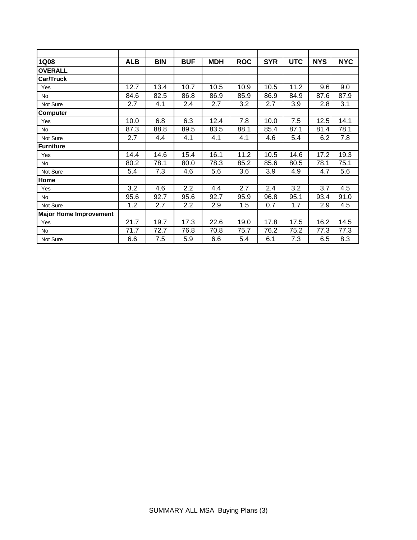| <b>1Q08</b>                   | <b>ALB</b> | <b>BIN</b> | <b>BUF</b> | <b>MDH</b> | <b>ROC</b> | <b>SYR</b> | <b>UTC</b> | <b>NYS</b> | <b>NYC</b> |
|-------------------------------|------------|------------|------------|------------|------------|------------|------------|------------|------------|
| <b>OVERALL</b>                |            |            |            |            |            |            |            |            |            |
| Car/Truck                     |            |            |            |            |            |            |            |            |            |
| Yes                           | 12.7       | 13.4       | 10.7       | 10.5       | 10.9       | 10.5       | 11.2       | 9.6        | 9.0        |
| <b>No</b>                     | 84.6       | 82.5       | 86.8       | 86.9       | 85.9       | 86.9       | 84.9       | 87.6       | 87.9       |
| Not Sure                      | 2.7        | 4.1        | 2.4        | 2.7<br>3.2 |            | 2.7        | 3.9        | 2.8        | 3.1        |
| Computer                      |            |            |            |            |            |            |            |            |            |
| Yes                           | 10.0       | 6.8        | 6.3        | 12.4       | 7.8        | 10.0       | 7.5        | 12.5       | 14.1       |
| <b>No</b>                     | 87.3       | 88.8       | 89.5       | 83.5       | 88.1       | 85.4       |            | 81.4       | 78.1       |
| Not Sure                      | 2.7        | 4.4        | 4.1        | 4.1        | 4.1        | 4.6        | 5.4        | 6.2        | 7.8        |
| <b>Furniture</b>              |            |            |            |            |            |            |            |            |            |
| Yes                           | 14.4       | 14.6       | 15.4       | 16.1       | 11.2       | 10.5       | 14.6       | 17.2       | 19.3       |
| No                            | 80.2       | 78.1       | 80.0       | 78.3       | 85.2       | 85.6       | 80.5       | 78.1       | 75.1       |
| Not Sure                      | 5.4        | 7.3        | 4.6        | 5.6        | 3.6        | 3.9        | 4.9        | 4.7        | 5.6        |
| Home                          |            |            |            |            |            |            |            |            |            |
| Yes                           | 3.2        | 4.6        | 2.2        | 4.4        | 2.7        | 2.4        | 3.2        | 3.7        | 4.5        |
| No                            | 95.6       | 92.7       | 95.6       | 92.7       | 95.9       | 96.8       | 95.1       | 93.4       | 91.0       |
| Not Sure                      | 1.2        | 2.7        | 2.2        | 2.9        | 1.5        | 0.7        | 1.7        | 2.9        | 4.5        |
| <b>Major Home Improvement</b> |            |            |            |            |            |            |            |            |            |
| Yes                           | 21.7       | 19.7       | 17.3       | 22.6       | 19.0       | 17.8       | 17.5       | 16.2       | 14.5       |
| <b>No</b>                     | 71.7       | 72.7       | 76.8       | 70.8       | 75.7       | 76.2       | 75.2       | 77.3       | 77.3       |
| Not Sure                      | 6.6        | 7.5        | 5.9        | 6.6        | 5.4        | 6.1        | 7.3        | 6.5        | 8.3        |